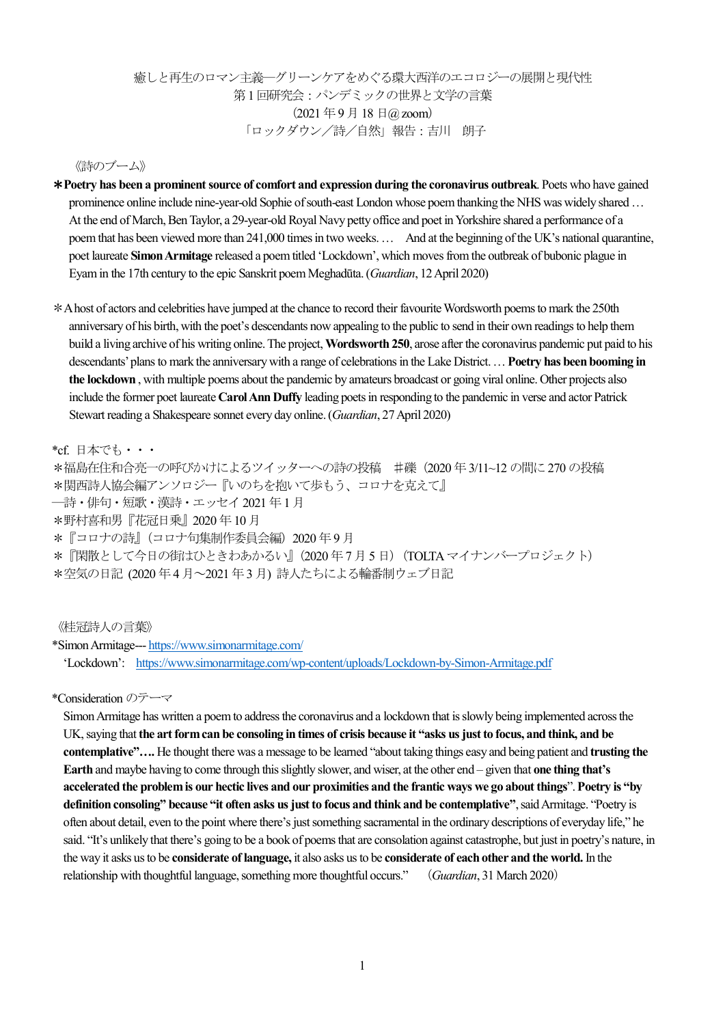## 癒しと再生のロマン主義―グリーンケアをめぐる環大西洋のエコロジーの展開と現代性 第1 回研究会:パンデミックの世界と文学の言葉  $(2021 \n 497 \n 181 \n 102$  zoom) 「ロックダウン/詩/自然」報告:吉川 朗子

#### 《詩のブーム》

- \***Poetry has been a prominent source of comfort and expression during the coronavirus outbreak**. Poets who have gained prominence online include [nine-year-old Sophie of south-east London](https://www.bbc.co.uk/news/av/uk-england-london-52231335/coronavirus-girl-9-writes-poem-for-nhs-workers) whose poem thanking the NHS was widely shared… At the end of March, Ben Taylor, a 29-year-old Royal Navy petty office and poet in Yorkshire [shared a performance of a](https://twitter.com/YorkshireProse/status/1244231729122066432)  [poemt](https://twitter.com/YorkshireProse/status/1244231729122066432)hat has been viewed more than 241,000 times in two weeks.… And at the beginning of the UK's national quarantine, poet laureate **Simon Armitage** [released a poem titled 'Lockdown'](https://www.theguardian.com/books/2020/mar/21/lockdown-simon-armitage-writes-poem-about-coronavirus-outbreak), which moves fro[mthe outbreak of bubonic plague in](https://www.theguardian.com/world/2020/mar/15/eyam-derbyshire-coronavirus-self-isolate-1665-plague)  [Eyam](https://www.theguardian.com/world/2020/mar/15/eyam-derbyshire-coronavirus-self-isolate-1665-plague)in the 17th century to the epic Sanskrit poem Meghadūta.(*Guardian*, 12 April 2020)
- \*A host of actors and celebrities have jumped at the chance to record their favourite Wordsworth poems to mark the 250th anniversary of his birth, with the poet's descendants now appealing to the public to send in their own readings to help them build a living archive of his writing online.The project,**Wordsworth 250**, arose after the coronavirus pandemic put paid to his descendants' plans to mark the anniversary with a range of celebrations in the Lake District.… **Poetry has been booming in the lockdown** , with multiple [poems about the pandemic by amateurs broadcast or going viral online.](https://www.theguardian.com/books/2020/apr/12/poem-constructed-from-emails-during-quarantine-goes-viral) Other projects also include the former poet laureate **Carol Ann Duffy** [leading poets in responding to the pandemic in verse](https://www.theguardian.com/books/2020/apr/20/carol-ann-duffy-leads-british-poets-coronavirus-imtiaz-dharker-jackie-kay) and actor Patrick Stewart reading a Shakespeare sonnet every day online.(*Guardian*, 27 April 2020)

### \*cf. 日本でも・・・

\*福島在住和合亮一の呼びかけによるツイッターへの詩の投稿 ♯礫(2020 年3/11~12 の間に270 の投稿 \*関西詩人協会編アンソロジー『いのちを抱いて歩もう、コロナを克えて』 ―詩・俳句・短歌・漢詩・エッセイ2021 年1月 \*野村喜和男『花冠日乗』2020 年10月 \*『コロナの詩』(コロナ句集制作委員会編)2020 年9 月 \*『閑散として今日の街はひときわあかるい』(2020 年7月5 日)(TOLTAマイナンバープロジェクト) \*空気の日記 (2020 年4 月~2021年3 月) 詩人たちによる輪番制ウェブ日記

《桂冠詩人の言葉》

\*Simon Armitage--- <https://www.simonarmitage.com/> 'Lockdown': <https://www.simonarmitage.com/wp-content/uploads/Lockdown-by-Simon-Armitage.pdf>

\*Consideration のテーマ

Simon Armitage has written a poem to address the coronavirus and a lockdown that is slowly being implemented across the UK, saying that**the art form can be consoling in times of crisis because it "asks us just to focus, and think, and be contemplative"….** He thought there was a message to be learned "about taking things easy and being patient and **trusting the Earth** and maybe having to come through this slightly slower, and wiser, at the other end – given that **one thing that's accelerated the problem is our hectic lives and our proximities and the frantic ways we go about things**". **Poetry is "by definition consoling" because "it often asks us just to focus and think and be contemplative"**, said Armitage. "Poetry is often about detail, even to the point where there's just something sacramental in the ordinary descriptions of everyday life," he said. "It's unlikely that there's going to be a book of poems that are consolation against catastrophe, but just in poetry's nature, in the way it asks us to be **considerate of language,** it also asks us to be **considerate of each other and the world.** In the relationship with thoughtful language, something more thoughtful occurs." (*Guardian*, 31 March 2020)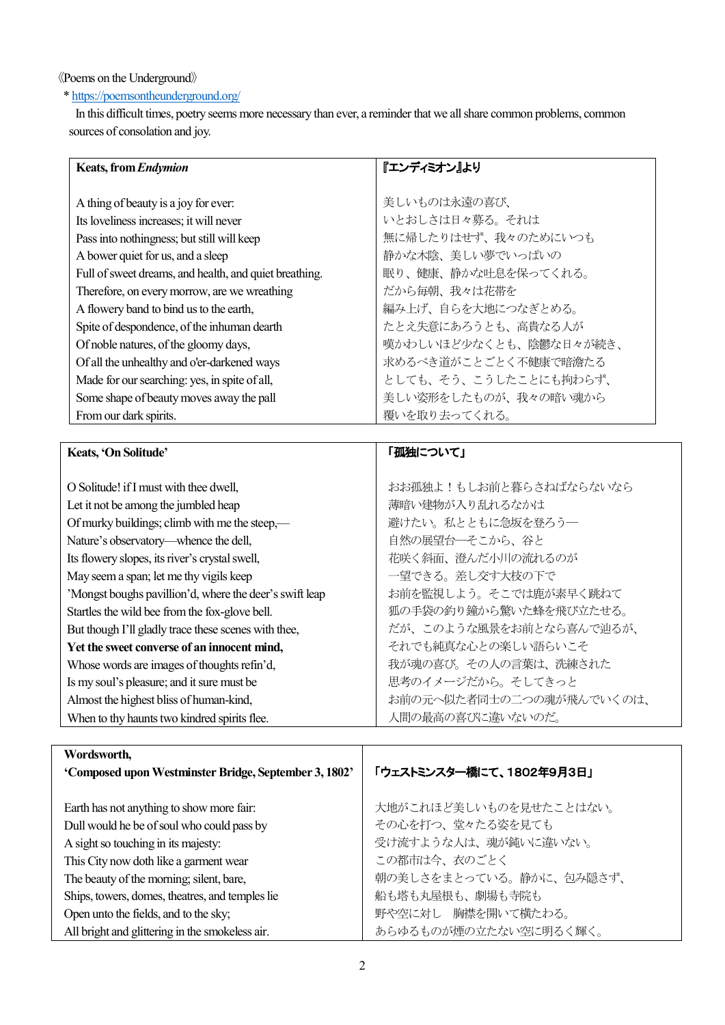## 《Poems on the Underground》

# [\\* https://poemsontheunderground.org/](https://poemsontheunderground.org/)

 In this difficult times, poetry seems more necessary than ever, a reminder that we all share common problems, common sources of consolation and joy.

| <b>Keats, from Endymion</b>                             | 『エンディミオン』より                                  |
|---------------------------------------------------------|----------------------------------------------|
|                                                         |                                              |
| A thing of beauty is a joy for ever:                    | 美しいものは永遠の喜び、                                 |
| Its loveliness increases; it will never                 | いとおしさは日々募る。それは                               |
| Pass into nothingness; but still will keep              | 無に帰したりはせず、我々のためにいつも                          |
| A bower quiet for us, and a sleep                       | 静かな木陰、美しい夢でいっぱいの                             |
| Full of sweet dreams, and health, and quiet breathing.  | 眠り、健康、静かな吐息を保ってくれる。                          |
| Therefore, on every morrow, are we wreathing            | だから毎朝、我々は花帯を                                 |
| A flowery band to bind us to the earth,                 | 編み上げ、自らを大地につなぎとめる。                           |
| Spite of despondence, of the inhuman dearth             | たとえ失意にあろうとも、高貴なる人が                           |
| Of noble natures, of the gloomy days,                   | 嘆かわしいほど少なくとも、陰鬱な日々が続き、                       |
| Of all the unhealthy and o'er-darkened ways             | 求めるべき道がことごとく不健康で暗澹たる                         |
| Made for our searching: yes, in spite of all,           | としても、そう、こうしたことにも拘わらず、                        |
| Some shape of beauty moves away the pall                | 美しい姿形をしたものが、我々の暗い魂から                         |
| From our dark spirits.                                  | 覆いを取り去ってくれる。                                 |
|                                                         |                                              |
|                                                         |                                              |
| Keats, 'On Solitude'                                    | 「孤独について」                                     |
|                                                         |                                              |
| O Solitude! if I must with thee dwell,                  | おお孤独よ!もしお前と暮らさねばならないなら                       |
| Let it not be among the jumbled heap                    | 薄暗い建物が入り乱れるなかは                               |
| Of murky buildings; climb with me the steep,-           | 避けたい。私とともに急坂を登ろう–                            |
| Nature's observatory—whence the dell,                   | 自然の展望台––そこから、谷と                              |
| Its flowery slopes, its river's crystal swell,          | 花咲く斜面、澄んだ小川の流れるのが                            |
| May seem a span; let me thy vigils keep                 | 一望できる。差し交す大枝の下で                              |
| 'Mongst boughs pavillion'd, where the deer's swift leap | お前を監視しよう。そこでは鹿が素早く跳ねて                        |
| Startles the wild bee from the fox-glove bell.          | 狐の手袋の釣り鐘から驚いた蜂を飛び立たせる。                       |
| But though I'll gladly trace these scenes with thee,    | だが、このような風景をお前となら喜んで辿るが、                      |
| Yet the sweet converse of an innocent mind,             | それでも純真な心との楽しい語らいこそ                           |
| Whose words are images of thoughts refin'd,             | 我が魂の喜び。その人の言葉は、洗練された                         |
| Is my soul's pleasure; and it sure must be              | 思考のイメージだから。そしてきっと                            |
| Almost the highest bliss of human-kind,                 | お前の元へ似た者同士の二つの魂が飛んでいくのは、<br>人間の最高の喜びに違いないのだ。 |

| Wordsworth,                                           |                          |
|-------------------------------------------------------|--------------------------|
| 'Composed upon Westminster Bridge, September 3, 1802' | 「ウェストミンスター橋にて、1802年9月3日」 |
|                                                       |                          |
| Earth has not anything to show more fair:             | 大地がこれほど美しいものを見せたことはない。   |
| Dull would he be of soul who could pass by            | その心を打つ、堂々たる姿を見ても         |
| A sight so touching in its majesty:                   | 受け流すような人は、魂が鈍いに違いない。     |
| This City now doth like a garment wear                | この都市は今、衣のごとく             |
| The beauty of the morning; silent, bare,              | 朝の美しさをまとっている。静かに、包み隠さず、  |
| Ships, towers, domes, theatres, and temples lie       | 船も塔も丸屋根も、劇場も寺院も          |
| Open unto the fields, and to the sky;                 | 野や空に対し 胸襟を開いて横たわる。       |
| All bright and glittering in the smokeless air.       | あらゆるものが煙の立たない空に明るく輝く。    |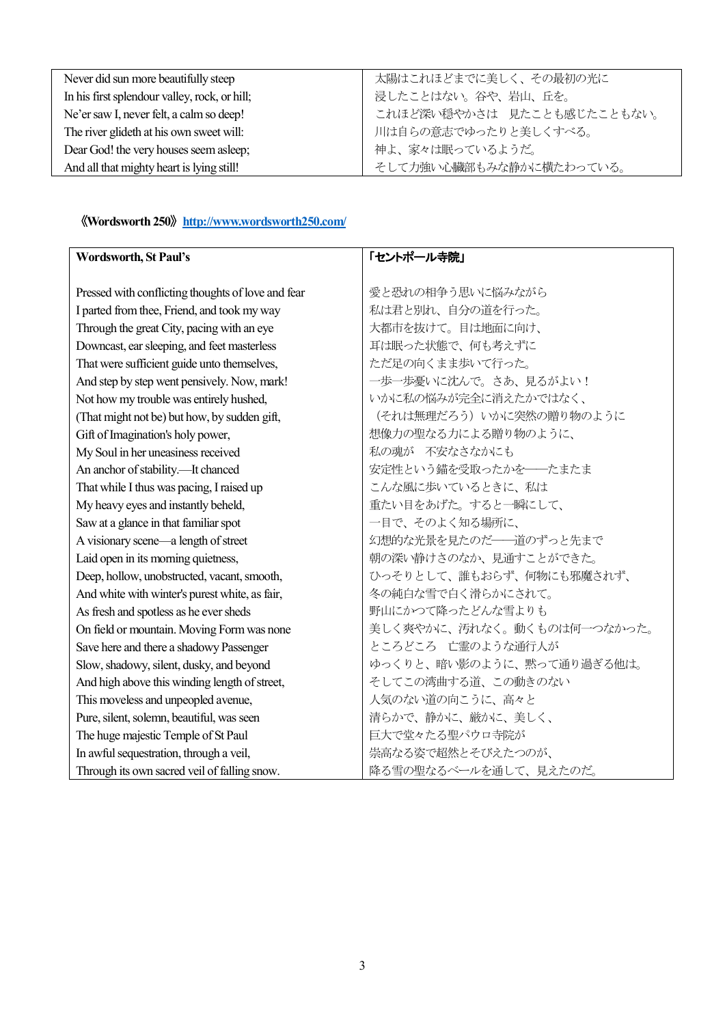| Never did sun more beautifully steep          | 太陽はこれほどまでに美しく、その最初の光に      |
|-----------------------------------------------|----------------------------|
| In his first splendour valley, rock, or hill; | 浸したことはない。谷や、岩山、丘を。         |
| Ne'er saw I, never felt, a calm so deep!      | これほど深い穏やかさは 見たことも感じたこともない。 |
| The river glideth at his own sweet will:      | 川は自らの意志でゆったりと美しくすべる。       |
| Dear God! the very houses seem asleep;        | 神よ、家々は眠っているようだ。            |
| And all that mighty heart is lying still!     | そして力強い心臓部もみな静かに横たわっている。    |

# 《**Wordsworth 250**》**<http://www.wordsworth250.com/>**

| <b>Wordsworth, St Paul's</b>                       | 「セントポール寺院」                 |
|----------------------------------------------------|----------------------------|
|                                                    |                            |
| Pressed with conflicting thoughts of love and fear | 愛と恐れの相争う思いに悩みながら           |
| I parted from thee, Friend, and took my way        | 私は君と別れ、自分の道を行った。           |
| Through the great City, pacing with an eye         | 大都市を抜けて。目は地面に向け、           |
| Downcast, ear sleeping, and feet masterless        | 耳は眠った状態で、何も考えずに            |
| That were sufficient guide unto themselves,        | ただ足の向くまま歩いて行った。            |
| And step by step went pensively. Now, mark!        | 一歩一歩憂いに沈んで。さあ、見るがよい!       |
| Not how my trouble was entirely hushed,            | いかに私の悩みが完全に消えたかではなく、       |
| (That might not be) but how, by sudden gift,       | (それは無理だろう) いかに突然の贈り物のように   |
| Gift of Imagination's holy power,                  | 想像力の聖なる力による贈り物のように、        |
| My Soul in her uneasiness received                 | 私の魂が 不安なさなかにも              |
| An anchor of stability.-It chanced                 | 安定性という錨を受取ったかを–––たまたま      |
| That while I thus was pacing, I raised up          | こんな風に歩いているときに、私は           |
| My heavy eyes and instantly beheld,                | 重たい目をあげた。すると一瞬にして、         |
| Saw at a glance in that familiar spot              | 一目で、そのよく知る場所に、             |
| A visionary scene—a length of street               | 幻想的な光景を見たのだ–––道のずっと先まで     |
| Laid open in its morning quietness,                | 朝の深い静けさのなか、見通すことができた。      |
| Deep, hollow, unobstructed, vacant, smooth,        | ひっそりとして、誰もおらず、何物にも邪魔されず、   |
| And white with winter's purest white, as fair,     | 冬の純白な雪で白く滑らかにされて。          |
| As fresh and spotless as he ever sheds             | 野山にかつて降ったどんな雪よりも           |
| On field or mountain. Moving Form was none         | 美しく爽やかに、汚れなく。動くものは何一つなかった。 |
| Save here and there a shadowy Passenger            | ところどころ 亡霊のような通行人が          |
| Slow, shadowy, silent, dusky, and beyond           | ゆっくりと、暗い影のように、黙って通り過ぎる他は。  |
| And high above this winding length of street,      | そしてこの湾曲する道、この動きのない         |
| This moveless and unpeopled avenue,                | 人気のない道の向こうに、高々と            |
| Pure, silent, solemn, beautiful, was seen          | 清らかで、静かに、厳かに、美しく、          |
| The huge majestic Temple of St Paul                | 巨大で堂々たる聖パウロ寺院が             |
| In awful sequestration, through a veil,            | 崇高なる姿で超然とそびえたつのが、          |
| Through its own sacred veil of falling snow.       | 降る雪の聖なるベールを通して、見えたのだ。      |